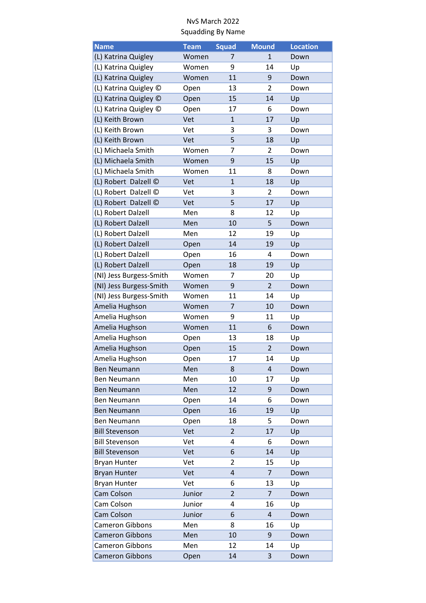| <b>Name</b>             | <b>Team</b> | <b>Squad</b>   | <b>Mound</b>   | <b>Location</b> |
|-------------------------|-------------|----------------|----------------|-----------------|
| (L) Katrina Quigley     | Women       | $\overline{7}$ | $\mathbf{1}$   | Down            |
| (L) Katrina Quigley     | Women       | 9              | 14             | Up              |
| (L) Katrina Quigley     | Women       | 11             | 9              | Down            |
| (L) Katrina Quigley ©   | Open        | 13             | 2              | Down            |
| (L) Katrina Quigley ©   | Open        | 15             | 14             | Up              |
| (L) Katrina Quigley ©   | Open        | 17             | 6              | Down            |
| (L) Keith Brown         | Vet         | $\mathbf{1}$   | 17             | Up              |
| (L) Keith Brown         | Vet         | 3              | 3              | Down            |
| (L) Keith Brown         | Vet         | 5              | 18             | Up              |
| (L) Michaela Smith      | Women       | 7              | 2              | Down            |
| (L) Michaela Smith      | Women       | 9              | 15             | Up              |
| (L) Michaela Smith      | Women       | 11             | 8              | Down            |
| (L) Robert Dalzell ©    | Vet         | $\mathbf{1}$   | 18             | Up              |
| (L) Robert Dalzell ©    | Vet         | 3              | 2              | Down            |
| (L) Robert Dalzell ©    | Vet         | 5              | 17             | Up              |
| (L) Robert Dalzell      | Men         | 8              | 12             | Up              |
| (L) Robert Dalzell      | Men         | 10             | 5              | Down            |
| (L) Robert Dalzell      | Men         | 12             | 19             | Up              |
| (L) Robert Dalzell      | Open        | 14             | 19             | Up              |
| (L) Robert Dalzell      | Open        | 16             | 4              | Down            |
| (L) Robert Dalzell      | Open        | 18             | 19             | Up              |
| (NI) Jess Burgess-Smith | Women       | 7              | 20             | Up              |
| (NI) Jess Burgess-Smith | Women       | 9              | 2              | Down            |
| (NI) Jess Burgess-Smith | Women       | 11             | 14             | Up              |
| Amelia Hughson          | Women       | $\overline{7}$ | 10             | Down            |
|                         |             |                |                |                 |
| Amelia Hughson          | Women       | 9<br>11        | 11<br>6        | Up              |
| Amelia Hughson          | Women       |                |                | Down            |
| Amelia Hughson          | Open        | 13             | 18             | Up              |
| Amelia Hughson          | Open        | 15             | $\overline{2}$ | Down            |
| Amelia Hughson          | Open        | 17             | 14             | Up              |
| <b>Ben Neumann</b>      | Men         | 8              | 4              | Down            |
| Ben Neumann             | Men         | 10             | 17             | Up              |
| <b>Ben Neumann</b>      | Men         | 12             | 9              | Down            |
| <b>Ben Neumann</b>      | Open        | 14             | 6              | Down            |
| <b>Ben Neumann</b>      | Open        | 16             | 19             | Up              |
| Ben Neumann             | Open        | 18             | 5              | Down            |
| <b>Bill Stevenson</b>   | Vet         | $\overline{2}$ | 17             | Up              |
| <b>Bill Stevenson</b>   | Vet         | 4              | 6              | Down            |
| <b>Bill Stevenson</b>   | Vet         | 6              | 14             | Up              |
| <b>Bryan Hunter</b>     | Vet         | 2              | 15             | Up              |
| <b>Bryan Hunter</b>     | Vet         | 4              | $\overline{7}$ | Down            |
| <b>Bryan Hunter</b>     | Vet         | 6              | 13             | Up              |
| Cam Colson              | Junior      | $\overline{2}$ | 7              | Down            |
| Cam Colson              | Junior      | 4              | 16             | Up              |
| Cam Colson              | Junior      | 6              | $\overline{4}$ | Down            |
| <b>Cameron Gibbons</b>  | Men         | 8              | 16             | Up              |
| Cameron Gibbons         | Men         | 10             | 9              | Down            |
| <b>Cameron Gibbons</b>  | Men         | 12             | 14             | Up              |
| Cameron Gibbons         | Open        | 14             | 3              | Down            |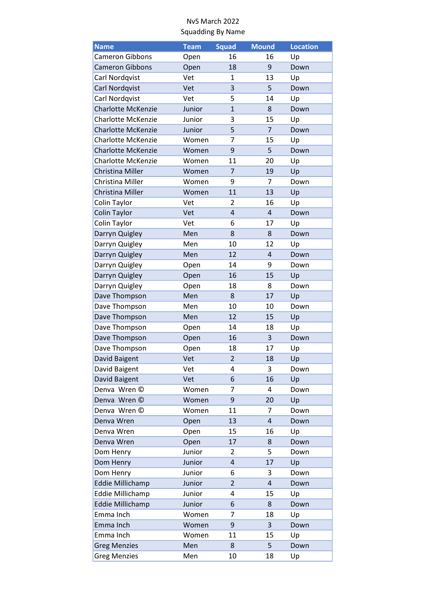| <b>Name</b>               | <b>Team</b> | <b>Squad</b>            | <b>Mound</b>            | <b>Location</b> |
|---------------------------|-------------|-------------------------|-------------------------|-----------------|
| <b>Cameron Gibbons</b>    | Open        | 16                      | 16                      | Up              |
| <b>Cameron Gibbons</b>    | Open        | 18                      | 9                       | Down            |
| Carl Nordqvist            | Vet         | $\overline{1}$          | 13                      | Up              |
| Carl Nordqvist            | Vet         | 3                       | 5                       | Down            |
| Carl Nordqvist            | Vet         | 5                       | 14                      | Up              |
| <b>Charlotte McKenzie</b> | Junior      | $\overline{1}$          | 8                       | Down            |
| <b>Charlotte McKenzie</b> | Junior      | 3                       | 15                      | Up              |
| <b>Charlotte McKenzie</b> | Junior      | 5                       | $\overline{7}$          | Down            |
| Charlotte McKenzie        | Women       | 7                       | 15                      | Up              |
| Charlotte McKenzie        | Women       | 9                       | 5                       | Down            |
| <b>Charlotte McKenzie</b> | Women       | 11                      | 20                      | Up              |
| Christina Miller          | Women       | $\overline{7}$          | 19                      | Up              |
| <b>Christina Miller</b>   | Women       | 9                       | $\overline{7}$          | Down            |
| Christina Miller          | Women       | 11                      | 13                      | Up              |
| Colin Taylor              | Vet         | $\overline{2}$          | 16                      | Up              |
| Colin Taylor              | Vet         | $\overline{4}$          | $\overline{4}$          | Down            |
| Colin Taylor              | Vet         | 6                       | 17                      | Up              |
| Darryn Quigley            | Men         | 8                       | 8                       | Down            |
| Darryn Quigley            | Men         | 10                      | 12                      | Up              |
| Darryn Quigley            | Men         | 12                      | $\overline{4}$          | Down            |
| Darryn Quigley            | Open        | 14                      | 9                       | Down            |
| Darryn Quigley            | Open        | 16                      | 15                      | Up              |
| Darryn Quigley            | Open        | 18                      | 8                       | Down            |
| Dave Thompson             | Men         | 8                       | 17                      | Up              |
| Dave Thompson             | Men         | 10                      | 10                      | Down            |
| Dave Thompson             | Men         | 12                      | 15                      |                 |
|                           |             | 14                      |                         | Up              |
| Dave Thompson             | Open        |                         | 18                      | Up<br>Down      |
| Dave Thompson             | Open        | 16                      | 3                       |                 |
| Dave Thompson             | Open        | 18                      | 17                      | Up              |
| David Baigent             | Vet         | $\overline{2}$          | 18                      | Up              |
| David Baigent             | Vet         | 4                       | 3                       | Down            |
| David Baigent             | Vet         | 6                       | 16                      | Up              |
| Denva Wren ©              | Women       | 7                       | 4                       | Down            |
| Denva Wren ©              | Women       | 9                       | 20                      | Up              |
| Denva Wren ©              | Women       | 11                      | 7                       | Down            |
| Denva Wren                | Open        | 13                      | 4                       | Down            |
| Denva Wren                | Open        | 15                      | 16                      | Up              |
| Denva Wren                | Open        | 17                      | 8                       | Down            |
| Dom Henry                 | Junior      | $\overline{2}$          | 5                       | Down            |
| Dom Henry                 | Junior      | $\overline{\mathbf{r}}$ | 17                      | Up              |
| Dom Henry                 | Junior      | 6                       | 3                       | Down            |
| <b>Eddie Millichamp</b>   | Junior      | $\overline{2}$          | $\overline{\mathbf{4}}$ | Down            |
| Eddie Millichamp          | Junior      | 4                       | 15                      | Up              |
| <b>Eddie Millichamp</b>   | Junior      | 6                       | 8                       | Down            |
| Emma Inch                 | Women       | 7                       | 18                      | Up              |
| Emma Inch                 | Women       | 9                       | 3                       | Down            |
| Emma Inch                 | Women       | 11                      | 15                      | Up              |
| <b>Greg Menzies</b>       | Men         | 8                       | 5                       | Down            |
| <b>Greg Menzies</b>       | Men         | 10                      | 18                      | Up              |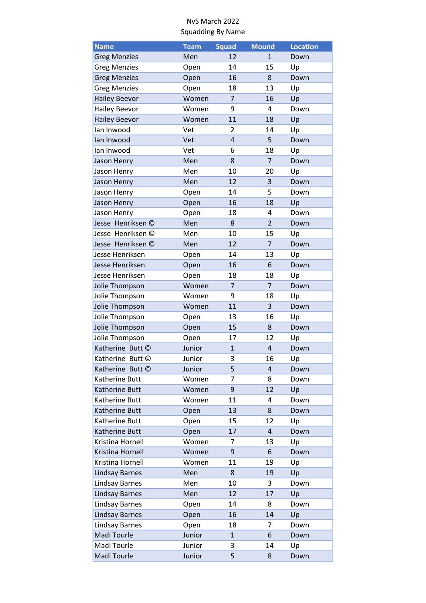| <b>Name</b>           | <b>Team</b> | <b>Squad</b>   | <b>Mound</b>            | <b>Location</b> |
|-----------------------|-------------|----------------|-------------------------|-----------------|
| <b>Greg Menzies</b>   | Men         | 12             | $\mathbf{1}$            | Down            |
| <b>Greg Menzies</b>   | Open        | 14             | 15                      | Up              |
| <b>Greg Menzies</b>   | Open        | 16             | 8                       | Down            |
| <b>Greg Menzies</b>   | Open        | 18             | 13                      | Up              |
| <b>Hailey Beevor</b>  | Women       | $\overline{7}$ | 16                      | Up              |
| <b>Hailey Beevor</b>  | Women       | 9              | 4                       | Down            |
| <b>Hailey Beevor</b>  | Women       | 11             | 18                      | Up              |
| lan Inwood            | Vet         | $\overline{2}$ | 14                      | Up              |
| lan Inwood            | Vet         | $\overline{4}$ | 5                       | Down            |
| lan Inwood            | Vet         | 6              | 18                      | Up              |
| Jason Henry           | Men         | 8              | 7                       | Down            |
| Jason Henry           | Men         | 10             | 20                      | Up              |
| Jason Henry           | Men         | 12             | 3                       | Down            |
| Jason Henry           | Open        | 14             | 5                       | Down            |
| Jason Henry           | Open        | 16             | 18                      | Up              |
| Jason Henry           | Open        | 18             | 4                       | Down            |
| Jesse Henriksen ©     | Men         | 8              | $\overline{2}$          | Down            |
| Jesse Henriksen ©     | Men         | 10             | 15                      | Up              |
| Jesse Henriksen ©     | Men         | 12             | $\overline{7}$          | Down            |
| Jesse Henriksen       | Open        | 14             | 13                      | Up              |
| Jesse Henriksen       | Open        | 16             | 6                       | Down            |
| Jesse Henriksen       | Open        | 18             | 18                      | Up              |
| Jolie Thompson        | Women       | $\overline{7}$ | $\overline{7}$          | Down            |
| Jolie Thompson        | Women       | 9              | 18                      | Up              |
| Jolie Thompson        | Women       | 11             | 3                       | Down            |
| Jolie Thompson        | Open        | 13             | 16                      | Up              |
| Jolie Thompson        | Open        | 15             | 8                       | Down            |
| Jolie Thompson        | Open        | 17             | 12                      | Up              |
| Katherine Butt ©      | Junior      | $\mathbf{1}$   | $\overline{\mathbf{r}}$ | Down            |
| Katherine Butt ©      | Junior      | 3              | 16                      | Up              |
| Katherine Butt ©      | Junior      | 5              | 4                       | Down            |
| Katherine Butt        | Women       | 7              | 8                       | Down            |
| Katherine Butt        | Women       | 9              | 12                      | Up              |
| Katherine Butt        | Women       | 11             | 4                       | Down            |
| Katherine Butt        | Open        | 13             | 8                       | Down            |
| Katherine Butt        | Open        | 15             | 12                      | Up              |
| Katherine Butt        | Open        | 17             | 4                       | Down            |
| Kristina Hornell      | Women       | 7              | 13                      | Up              |
| Kristina Hornell      | Women       | 9              | 6                       | Down            |
| Kristina Hornell      | Women       | 11             | 19                      | Up              |
| <b>Lindsay Barnes</b> | Men         | 8              | 19                      | Up              |
| <b>Lindsay Barnes</b> | Men         | 10             | 3                       | Down            |
| <b>Lindsay Barnes</b> | Men         | 12             | 17                      | Up              |
| Lindsay Barnes        | Open        | 14             | 8                       | Down            |
| <b>Lindsay Barnes</b> | Open        | 16             | 14                      | Up              |
| <b>Lindsay Barnes</b> | Open        | 18             | 7                       | Down            |
| Madi Tourle           | Junior      | $\mathbf{1}$   | 6                       | Down            |
| Madi Tourle           | Junior      | 3              | 14                      | Up              |
| Madi Tourle           | Junior      | 5              | 8                       | Down            |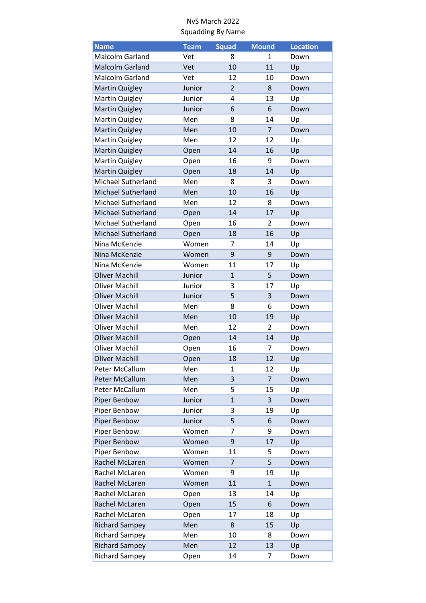| <b>Name</b>               | <b>Team</b> | <b>Squad</b>   | <b>Mound</b>   | <b>Location</b> |
|---------------------------|-------------|----------------|----------------|-----------------|
| Malcolm Garland           | Vet         | 8              | $\mathbf{1}$   | Down            |
| <b>Malcolm Garland</b>    | Vet         | 10             | 11             | Up              |
| Malcolm Garland           | Vet         | 12             | 10             | Down            |
| <b>Martin Quigley</b>     | Junior      | $\overline{2}$ | 8              | Down            |
| Martin Quigley            | Junior      | 4              | 13             | Up              |
| <b>Martin Quigley</b>     | Junior      | 6              | 6              | Down            |
| <b>Martin Quigley</b>     | Men         | 8              | 14             | Up              |
| <b>Martin Quigley</b>     | Men         | 10             | $\overline{7}$ | Down            |
| Martin Quigley            | Men         | 12             | 12             | Up              |
| <b>Martin Quigley</b>     | Open        | 14             | 16             | Up              |
| <b>Martin Quigley</b>     | Open        | 16             | 9              | Down            |
| <b>Martin Quigley</b>     | Open        | 18             | 14             | Up              |
| <b>Michael Sutherland</b> | Men         | 8              | 3              | Down            |
| <b>Michael Sutherland</b> | Men         | 10             | 16             | Up              |
| <b>Michael Sutherland</b> | Men         | 12             | 8              | Down            |
| <b>Michael Sutherland</b> | Open        | 14             | 17             | Up              |
| <b>Michael Sutherland</b> | Open        | 16             | 2              | Down            |
| <b>Michael Sutherland</b> | Open        | 18             | 16             | Up              |
| Nina McKenzie             | Women       | 7              | 14             | Up              |
| Nina McKenzie             | Women       | 9              | 9              | Down            |
| Nina McKenzie             | Women       | 11             | 17             | Up              |
| <b>Oliver Machill</b>     | Junior      | $\mathbf{1}$   | 5              | Down            |
| <b>Oliver Machill</b>     | Junior      | 3              | 17             | Up              |
| <b>Oliver Machill</b>     | Junior      | 5              | 3              | Down            |
| <b>Oliver Machill</b>     | Men         | 8              | 6              | Down            |
| <b>Oliver Machill</b>     | Men         | 10             | 19             |                 |
| <b>Oliver Machill</b>     | Men         | 12             | $\overline{2}$ | Up              |
| <b>Oliver Machill</b>     |             | 14             | 14             | Down            |
| <b>Oliver Machill</b>     | Open        |                |                | Up              |
|                           | Open        | 16             | 7              | Down            |
| <b>Oliver Machill</b>     | Open        | 18             | 12             | Up              |
| Peter McCallum            | Men         | 1              | 12             | Up              |
| Peter McCallum            | Men         | 3              | $\overline{7}$ | Down            |
| Peter McCallum            | Men         | 5              | 15             | Up              |
| <b>Piper Benbow</b>       | Junior      | $\mathbf{1}$   | 3              | Down            |
| Piper Benbow              | Junior      | 3              | 19             | Up              |
| <b>Piper Benbow</b>       | Junior      | 5              | 6              | Down            |
| Piper Benbow              | Women       | 7              | 9              | Down            |
| <b>Piper Benbow</b>       | Women       | 9              | 17             | Up              |
| Piper Benbow              | Women       | 11             | 5              | Down            |
| Rachel McLaren            | Women       | 7              | 5              | Down            |
| Rachel McLaren            | Women       | 9              | 19             | Up              |
| Rachel McLaren            | Women       | 11             | $\mathbf{1}$   | Down            |
| Rachel McLaren            | Open        | 13             | 14             | Up              |
| Rachel McLaren            | Open        | 15             | 6              | Down            |
| Rachel McLaren            | Open        | 17             | 18             | Up              |
| <b>Richard Sampey</b>     | Men         | 8              | 15             | Up              |
| <b>Richard Sampey</b>     | Men         | 10             | 8              | Down            |
| <b>Richard Sampey</b>     | Men         | 12             | 13             | Up              |
| <b>Richard Sampey</b>     | Open        | 14             | 7              | Down            |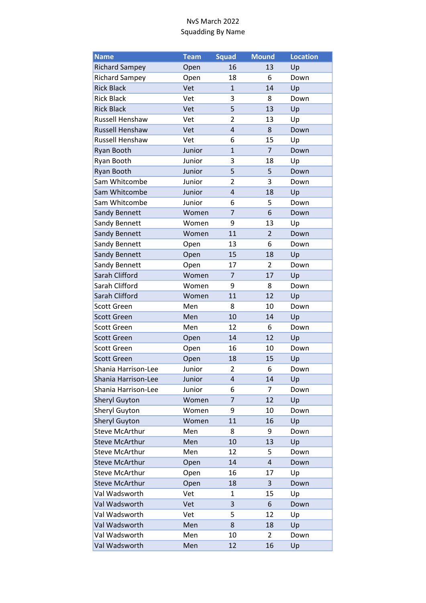| <b>Name</b>           | <b>Team</b> | <b>Squad</b>   | <b>Mound</b>            | <b>Location</b> |
|-----------------------|-------------|----------------|-------------------------|-----------------|
| <b>Richard Sampey</b> | Open        | 16             | 13                      | Up              |
| <b>Richard Sampey</b> | Open        | 18             | 6                       | Down            |
| <b>Rick Black</b>     | Vet         | $\mathbf{1}$   | 14                      | Up              |
| <b>Rick Black</b>     | Vet         | 3              | 8                       | Down            |
| <b>Rick Black</b>     | Vet         | 5              | 13                      | Up              |
| Russell Henshaw       | Vet         | $\overline{2}$ | 13                      | Up              |
| Russell Henshaw       | Vet         | $\overline{4}$ | 8                       | Down            |
| Russell Henshaw       | Vet         | 6              | 15                      | Up              |
| <b>Ryan Booth</b>     | Junior      | $\mathbf{1}$   | $\overline{7}$          | Down            |
| Ryan Booth            | Junior      | 3              | 18                      | Up              |
| Ryan Booth            | Junior      | 5              | 5                       | Down            |
| Sam Whitcombe         | Junior      | $\overline{2}$ | 3                       | Down            |
| Sam Whitcombe         | Junior      | 4              | 18                      | Up              |
| Sam Whitcombe         | Junior      | 6              | 5                       | Down            |
| Sandy Bennett         | Women       | 7              | 6                       | Down            |
| Sandy Bennett         | Women       | 9              | 13                      | Up              |
| Sandy Bennett         | Women       | 11             | $\overline{2}$          | Down            |
| Sandy Bennett         | Open        | 13             | 6                       | Down            |
| Sandy Bennett         | Open        | 15             | 18                      | Up              |
| Sandy Bennett         | Open        | 17             | 2                       | Down            |
| Sarah Clifford        | Women       | 7              | 17                      | Up              |
| Sarah Clifford        | Women       | 9              | 8                       | Down            |
| Sarah Clifford        | Women       | 11             | 12                      | Up              |
| <b>Scott Green</b>    | Men         | 8              | 10                      | Down            |
| <b>Scott Green</b>    | Men         | 10             | 14                      | Up              |
| <b>Scott Green</b>    | Men         | 12             | 6                       | Down            |
| <b>Scott Green</b>    | Open        | 14             | 12                      | Up              |
| <b>Scott Green</b>    | Open        | 16             | 10                      | Down            |
| <b>Scott Green</b>    | Open        | 18             | 15                      | Up              |
| Shania Harrison-Lee   | Junior      | $\overline{2}$ | 6                       | Down            |
| Shania Harrison-Lee   | Junior      | 4              | 14                      | Up              |
| Shania Harrison-Lee   | Junior      | 6              | $\overline{7}$          | Down            |
| <b>Sheryl Guyton</b>  | Women       | 7              | 12                      | Up              |
| <b>Sheryl Guyton</b>  | Women       | 9              | 10                      | Down            |
| <b>Sheryl Guyton</b>  | Women       | 11             | 16                      | Up              |
| <b>Steve McArthur</b> | Men         | 8              | 9                       | Down            |
| <b>Steve McArthur</b> | Men         | 10             | 13                      | Up              |
| <b>Steve McArthur</b> | Men         | 12             | 5                       | Down            |
| <b>Steve McArthur</b> | Open        | 14             | $\overline{\mathbf{4}}$ | Down            |
| <b>Steve McArthur</b> | Open        | 16             | 17                      | Up              |
| <b>Steve McArthur</b> | Open        | 18             | 3                       | Down            |
| Val Wadsworth         | Vet         | $\mathbf{1}$   | 15                      | Up              |
| Val Wadsworth         | Vet         | 3              | 6                       | Down            |
| Val Wadsworth         | Vet         | 5              | 12                      | Up              |
| Val Wadsworth         | Men         | 8              | 18                      | Up              |
| Val Wadsworth         | Men         | 10             | 2                       | Down            |
| Val Wadsworth         | Men         | 12             | 16                      | Up              |
|                       |             |                |                         |                 |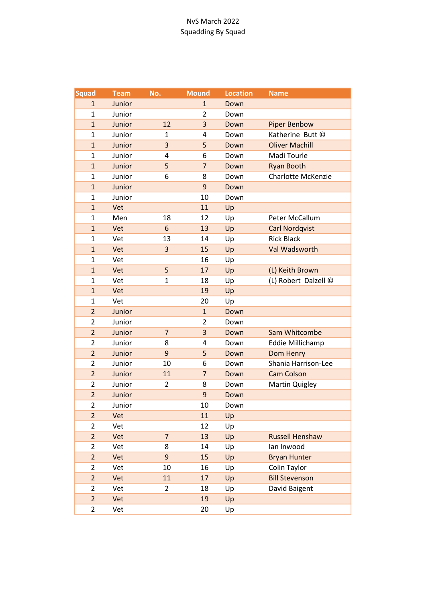| <b>Squad</b>            | <b>Team</b> | No.            | <b>Mound</b>   | <b>Location</b> | <b>Name</b>               |
|-------------------------|-------------|----------------|----------------|-----------------|---------------------------|
| $\mathbf{1}$            | Junior      |                | $\mathbf{1}$   | Down            |                           |
| $\mathbf{1}$            | Junior      |                | 2              | Down            |                           |
| $\mathbf{1}$            | Junior      | 12             | 3              | Down            | <b>Piper Benbow</b>       |
| $\mathbf{1}$            | Junior      | 1              | 4              | Down            | Katherine Butt ©          |
| $\mathbf{1}$            | Junior      | 3              | 5              | Down            | <b>Oliver Machill</b>     |
| $\mathbf{1}$            | Junior      | 4              | 6              | Down            | Madi Tourle               |
| $\mathbf{1}$            | Junior      | 5              | $\overline{7}$ | Down            | <b>Ryan Booth</b>         |
| $\mathbf{1}$            | Junior      | 6              | 8              | Down            | <b>Charlotte McKenzie</b> |
| $\mathbf{1}$            | Junior      |                | 9              | Down            |                           |
| $\mathbf{1}$            | Junior      |                | 10             | Down            |                           |
| $\mathbf{1}$            | Vet         |                | 11             | Up              |                           |
| $\mathbf{1}$            | Men         | 18             | 12             | Up              | Peter McCallum            |
| $\mathbf{1}$            | Vet         | 6              | 13             | Up              | <b>Carl Nordqvist</b>     |
| 1                       | Vet         | 13             | 14             | Up              | <b>Rick Black</b>         |
| $\mathbf{1}$            | Vet         | 3              | 15             | Up              | Val Wadsworth             |
| 1                       | Vet         |                | 16             | Up              |                           |
| $\mathbf{1}$            | Vet         | 5              | 17             | Up              | (L) Keith Brown           |
| $\mathbf{1}$            | Vet         | $\mathbf{1}$   | 18             | Up              | (L) Robert Dalzell C      |
| $\mathbf{1}$            | Vet         |                | 19             | Up              |                           |
| $\mathbf{1}$            | Vet         |                | 20             | Up              |                           |
| $\overline{2}$          | Junior      |                | $\mathbf{1}$   | Down            |                           |
| $\overline{2}$          | Junior      |                | $\overline{2}$ | Down            |                           |
| $\overline{2}$          | Junior      | $\overline{7}$ | 3              | Down            | Sam Whitcombe             |
| $\overline{2}$          | Junior      | 8              | 4              | Down            | Eddie Millichamp          |
| $\overline{2}$          | Junior      | 9              | 5              | Down            | Dom Henry                 |
| $\overline{2}$          | Junior      | 10             | 6              | Down            | Shania Harrison-Lee       |
| $\overline{2}$          | Junior      | 11             | $\overline{7}$ | Down            | <b>Cam Colson</b>         |
| $\overline{2}$          | Junior      | 2              | 8              | Down            | <b>Martin Quigley</b>     |
| $\overline{2}$          | Junior      |                | 9              | Down            |                           |
| $\overline{\mathbf{c}}$ | Junior      |                | 10             | Down            |                           |
| $\overline{2}$          | Vet         |                | 11             | Up              |                           |
| $\overline{2}$          | Vet         |                | 12             | Up              |                           |
| $\overline{2}$          | Vet         | $\overline{7}$ | 13             | Up              | Russell Henshaw           |
| $\overline{2}$          | Vet         | 8              | 14             | Up              | lan Inwood                |
| $\overline{2}$          | Vet         | 9              | 15             | Up              | <b>Bryan Hunter</b>       |
| $\overline{2}$          | Vet         | 10             | 16             | Up              | Colin Taylor              |
| $\overline{2}$          | Vet         | 11             | 17             | Up              | <b>Bill Stevenson</b>     |
| $\overline{2}$          | Vet         | $\overline{2}$ | 18             | Up              | David Baigent             |
| $\overline{2}$          | Vet         |                | 19             | Up              |                           |
| $\overline{2}$          | Vet         |                | 20             | Up              |                           |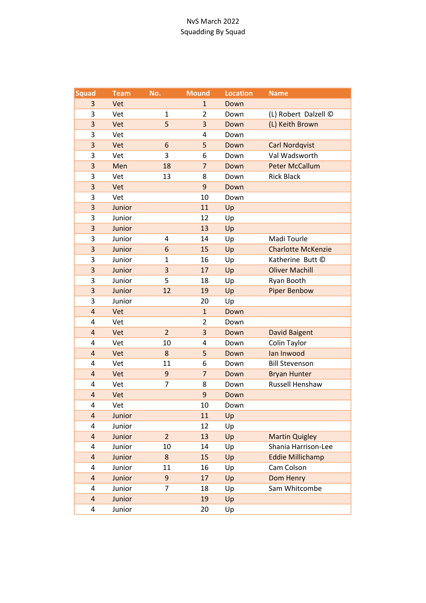| <b>Squad</b>   | <b>Team</b> | No.            | <b>Mound</b>   | <b>Location</b> | <b>Name</b>               |
|----------------|-------------|----------------|----------------|-----------------|---------------------------|
| 3              | Vet         |                | $\mathbf{1}$   | Down            |                           |
| 3              | Vet         | $\mathbf{1}$   | 2              | Down            | (L) Robert Dalzell C      |
| 3              | Vet         | 5              | 3              | Down            | (L) Keith Brown           |
| 3              | Vet         |                | 4              | Down            |                           |
| 3              | Vet         | 6              | 5              | Down            | <b>Carl Nordqvist</b>     |
| 3              | Vet         | 3              | 6              | Down            | Val Wadsworth             |
| 3              | Men         | 18             | $\overline{7}$ | Down            | <b>Peter McCallum</b>     |
| 3              | Vet         | 13             | 8              | Down            | <b>Rick Black</b>         |
| 3              | Vet         |                | 9              | Down            |                           |
| 3              | Vet         |                | 10             | Down            |                           |
| 3              | Junior      |                | 11             | Up              |                           |
| 3              | Junior      |                | 12             | Up              |                           |
| 3              | Junior      |                | 13             | Up              |                           |
| 3              | Junior      | 4              | 14             | Up              | Madi Tourle               |
| 3              | Junior      | 6              | 15             | Up              | <b>Charlotte McKenzie</b> |
| 3              | Junior      | $\mathbf{1}$   | 16             | Up              | Katherine Butt ©          |
| 3              | Junior      | 3              | 17             | Up              | <b>Oliver Machill</b>     |
| 3              | Junior      | 5              | 18             | Up              | Ryan Booth                |
| 3              | Junior      | 12             | 19             | Up              | <b>Piper Benbow</b>       |
| 3              | Junior      |                | 20             | Up              |                           |
| $\overline{4}$ | Vet         |                | $\mathbf{1}$   | Down            |                           |
| 4              | Vet         |                | $\overline{2}$ | Down            |                           |
| $\overline{4}$ | Vet         | $\overline{2}$ | 3              | Down            | David Baigent             |
| 4              | Vet         | 10             | 4              | Down            | Colin Taylor              |
| $\overline{4}$ | Vet         | 8              | 5              | Down            | lan Inwood                |
| 4              | Vet         | 11             | 6              | Down            | <b>Bill Stevenson</b>     |
| $\overline{4}$ | Vet         | 9              | $\overline{7}$ | Down            | <b>Bryan Hunter</b>       |
| 4              | Vet         | 7              | 8              | Down            | Russell Henshaw           |
| $\overline{4}$ | Vet         |                | 9              | Down            |                           |
| 4              | Vet         |                | 10             | Down            |                           |
| $\overline{4}$ | Junior      |                | 11             | Up              |                           |
| 4              | Junior      |                | 12             | Up              |                           |
| 4              | Junior      | $\overline{2}$ | 13             | Up              | <b>Martin Quigley</b>     |
| 4              | Junior      | 10             | 14             | Up              | Shania Harrison-Lee       |
| 4              | Junior      | 8              | 15             | Up              | <b>Eddie Millichamp</b>   |
| 4              | Junior      | 11             | 16             | Up              | Cam Colson                |
| $\overline{4}$ | Junior      | 9              | 17             | Up              | Dom Henry                 |
| 4              | Junior      | $\overline{7}$ | 18             | Up              | Sam Whitcombe             |
| $\overline{4}$ | Junior      |                | 19             | Up              |                           |
| 4              | Junior      |                | 20             | Up              |                           |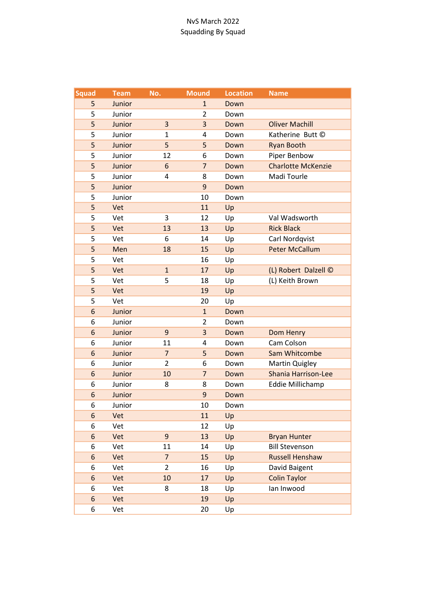| <b>Squad</b> | <b>Team</b> | No.            | <b>Mound</b>   | <b>Location</b> | <b>Name</b>               |
|--------------|-------------|----------------|----------------|-----------------|---------------------------|
| 5            | Junior      |                | $\mathbf{1}$   | Down            |                           |
| 5            | Junior      |                | 2              | Down            |                           |
| 5            | Junior      | 3              | 3              | Down            | <b>Oliver Machill</b>     |
| 5            | Junior      | $\mathbf{1}$   | 4              | Down            | Katherine Butt ©          |
| 5            | Junior      | 5              | 5              | Down            | <b>Ryan Booth</b>         |
| 5            | Junior      | 12             | 6              | Down            | Piper Benbow              |
| 5            | Junior      | 6              | $\overline{7}$ | Down            | <b>Charlotte McKenzie</b> |
| 5            | Junior      | 4              | 8              | Down            | Madi Tourle               |
| 5            | Junior      |                | 9              | Down            |                           |
| 5            | Junior      |                | 10             | Down            |                           |
| 5            | Vet         |                | 11             | Up              |                           |
| 5            | Vet         | 3              | 12             | Up              | Val Wadsworth             |
| 5            | Vet         | 13             | 13             | Up              | <b>Rick Black</b>         |
| 5            | Vet         | 6              | 14             | Up              | Carl Nordqvist            |
| 5            | Men         | 18             | 15             | Up              | <b>Peter McCallum</b>     |
| 5            | Vet         |                | 16             | Up              |                           |
| 5            | Vet         | $\mathbf{1}$   | 17             | Up              | (L) Robert Dalzell ©      |
| 5            | Vet         | 5              | 18             | Up              | (L) Keith Brown           |
| 5            | Vet         |                | 19             | Up              |                           |
| 5            | Vet         |                | 20             | Up              |                           |
| 6            | Junior      |                | $\mathbf{1}$   | Down            |                           |
| 6            | Junior      |                | $\overline{2}$ | Down            |                           |
| 6            | Junior      | 9              | 3              | Down            | Dom Henry                 |
| 6            | Junior      | 11             | 4              | Down            | Cam Colson                |
| 6            | Junior      | $\overline{7}$ | 5              | Down            | Sam Whitcombe             |
| 6            | Junior      | $\overline{2}$ | 6              | Down            | <b>Martin Quigley</b>     |
| 6            | Junior      | 10             | $\overline{7}$ | Down            | Shania Harrison-Lee       |
| 6            | Junior      | 8              | 8              | Down            | <b>Eddie Millichamp</b>   |
| 6            | Junior      |                | 9              | Down            |                           |
| 6            | Junior      |                | 10             | Down            |                           |
| 6            | Vet         |                | 11             | Up              |                           |
| 6            | Vet         |                | 12             | Up              |                           |
| 6            | Vet         | 9              | 13             | Up              | <b>Bryan Hunter</b>       |
| 6            | Vet         | 11             | 14             | Up              | <b>Bill Stevenson</b>     |
| 6            | Vet         | $\overline{7}$ | 15             | Up              | <b>Russell Henshaw</b>    |
| 6            | Vet         | $\overline{2}$ | 16             | Up              | David Baigent             |
| 6            | Vet         | 10             | 17             | Up              | <b>Colin Taylor</b>       |
| 6            | Vet         | 8              | 18             | Up              | lan Inwood                |
| 6            | Vet         |                | 19             | Up              |                           |
| 6            | Vet         |                | 20             | Up              |                           |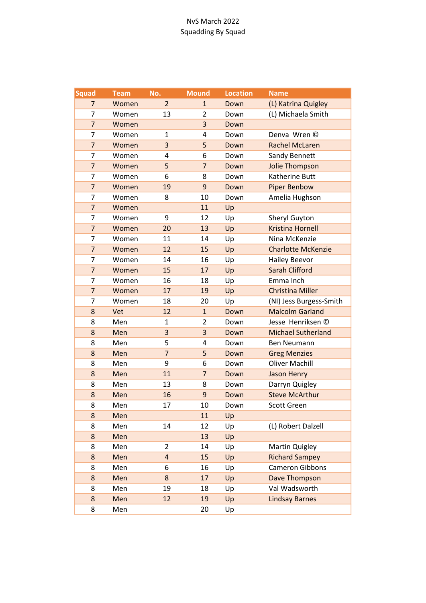| <b>Squad</b>   | <b>Team</b> | No.                     | <b>Mound</b>   | <b>Location</b> | <b>Name</b>               |
|----------------|-------------|-------------------------|----------------|-----------------|---------------------------|
| $\overline{7}$ | Women       | $\overline{2}$          | $\mathbf{1}$   | Down            | (L) Katrina Quigley       |
| 7              | Women       | 13                      | $\overline{2}$ | Down            | (L) Michaela Smith        |
| $\overline{7}$ | Women       |                         | 3              | Down            |                           |
| $\overline{7}$ | Women       | 1                       | 4              | Down            | Denva Wren ©              |
| $\overline{7}$ | Women       | 3                       | 5              | Down            | <b>Rachel McLaren</b>     |
| 7              | Women       | 4                       | 6              | Down            | Sandy Bennett             |
| $\overline{7}$ | Women       | 5                       | $\overline{7}$ | Down            | Jolie Thompson            |
| 7              | Women       | 6                       | 8              | Down            | Katherine Butt            |
| $\overline{7}$ | Women       | 19                      | 9              | Down            | <b>Piper Benbow</b>       |
| $\overline{7}$ | Women       | 8                       | 10             | Down            | Amelia Hughson            |
| $\overline{7}$ | Women       |                         | 11             | Up              |                           |
| $\overline{7}$ | Women       | 9                       | 12             | Up              | Sheryl Guyton             |
| $\overline{7}$ | Women       | 20                      | 13             | Up              | <b>Kristina Hornell</b>   |
| 7              | Women       | 11                      | 14             | Up              | Nina McKenzie             |
| $\overline{7}$ | Women       | 12                      | 15             | Up              | <b>Charlotte McKenzie</b> |
| 7              | Women       | 14                      | 16             | Up              | <b>Hailey Beevor</b>      |
| $\overline{7}$ | Women       | 15                      | 17             | Up              | <b>Sarah Clifford</b>     |
| $\overline{7}$ | Women       | 16                      | 18             | Up              | Emma Inch                 |
| $\overline{7}$ | Women       | 17                      | 19             | Up              | <b>Christina Miller</b>   |
| 7              | Women       | 18                      | 20             | Up              | (NI) Jess Burgess-Smith   |
| 8              | Vet         | 12                      | $\mathbf{1}$   | Down            | <b>Malcolm Garland</b>    |
| 8              | Men         | $\mathbf{1}$            | $\overline{2}$ | Down            | Jesse Henriksen ©         |
| 8              | Men         | 3                       | 3              | Down            | <b>Michael Sutherland</b> |
| 8              | Men         | 5                       | 4              | Down            | <b>Ben Neumann</b>        |
| 8              | Men         | $\overline{7}$          | 5              | Down            | <b>Greg Menzies</b>       |
| 8              | Men         | 9                       | 6              | Down            | <b>Oliver Machill</b>     |
| 8              | Men         | 11                      | $\overline{7}$ | Down            | Jason Henry               |
| 8              | Men         | 13                      | 8              | Down            | Darryn Quigley            |
| 8              | Men         | 16                      | 9              | Down            | <b>Steve McArthur</b>     |
| 8              | Men         | 17                      | 10             | Down            | <b>Scott Green</b>        |
| 8              | Men         |                         | 11             | Up              |                           |
| 8              | Men         | 14                      | 12             | Up              | (L) Robert Dalzell        |
| 8              | Men         |                         | 13             | Up              |                           |
| 8              | Men         | $\overline{2}$          | 14             | Up              | Martin Quigley            |
| 8              | Men         | $\overline{\mathbf{4}}$ | 15             | Up              | <b>Richard Sampey</b>     |
| 8              | Men         | 6                       | 16             | Up              | Cameron Gibbons           |
| 8              | Men         | 8                       | 17             | Up              | Dave Thompson             |
| 8              | Men         | 19                      | 18             | Up              | Val Wadsworth             |
| 8              | Men         | 12                      | 19             | Up              | <b>Lindsay Barnes</b>     |
| 8              | Men         |                         | 20             | Up              |                           |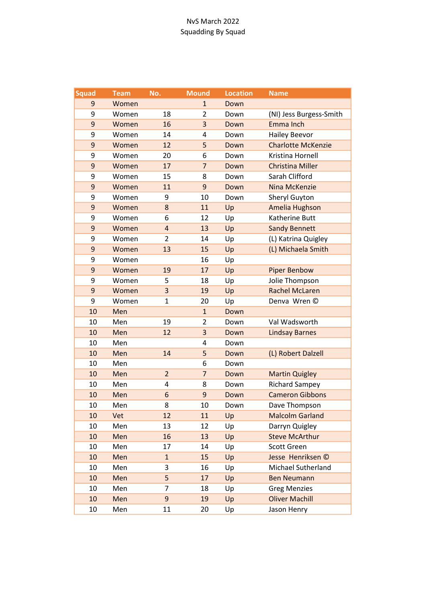| <b>Squad</b> | <b>Team</b> | No.            | <b>Mound</b>   | <b>Location</b> | <b>Name</b>               |
|--------------|-------------|----------------|----------------|-----------------|---------------------------|
| 9            | Women       |                | $\mathbf{1}$   | Down            |                           |
| 9            | Women       | 18             | 2              | Down            | (NI) Jess Burgess-Smith   |
| 9            | Women       | 16             | 3              | Down            | Emma Inch                 |
| 9            | Women       | 14             | 4              | Down            | <b>Hailey Beevor</b>      |
| 9            | Women       | 12             | 5              | Down            | <b>Charlotte McKenzie</b> |
| 9            | Women       | 20             | 6              | Down            | Kristina Hornell          |
| 9            | Women       | 17             | $\overline{7}$ | Down            | <b>Christina Miller</b>   |
| 9            | Women       | 15             | 8              | Down            | Sarah Clifford            |
| 9            | Women       | 11             | 9              | Down            | Nina McKenzie             |
| 9            | Women       | 9              | 10             | Down            | Sheryl Guyton             |
| 9            | Women       | 8              | 11             | Up              | Amelia Hughson            |
| 9            | Women       | 6              | 12             | Up              | Katherine Butt            |
| 9            | Women       | $\overline{4}$ | 13             | Up              | <b>Sandy Bennett</b>      |
| 9            | Women       | $\overline{2}$ | 14             | Up              | (L) Katrina Quigley       |
| 9            | Women       | 13             | 15             | Up              | (L) Michaela Smith        |
| 9            | Women       |                | 16             | Up              |                           |
| 9            | Women       | 19             | 17             | Up              | <b>Piper Benbow</b>       |
| 9            | Women       | 5              | 18             | Up              | Jolie Thompson            |
| 9            | Women       | 3              | 19             | Up              | <b>Rachel McLaren</b>     |
| 9            | Women       | $\mathbf{1}$   | 20             | Up              | Denva Wren ©              |
| 10           | Men         |                | $\mathbf{1}$   | Down            |                           |
| 10           | Men         | 19             | $\overline{2}$ | Down            | Val Wadsworth             |
| 10           | Men         | 12             | 3              | Down            | <b>Lindsay Barnes</b>     |
| 10           | Men         |                | 4              | Down            |                           |
| 10           | Men         | 14             | 5              | Down            | (L) Robert Dalzell        |
| 10           | Men         |                | 6              | Down            |                           |
| 10           | Men         | $\overline{2}$ | $\overline{7}$ | Down            | <b>Martin Quigley</b>     |
| 10           | Men         | 4              | 8              | Down            | <b>Richard Sampey</b>     |
| 10           | Men         | 6              | 9              | Down            | <b>Cameron Gibbons</b>    |
| 10           | Men         | 8              | 10             | Down            | Dave Thompson             |
| 10           | Vet         | 12             | 11             | Up              | <b>Malcolm Garland</b>    |
| 10           | Men         | 13             | 12             | Up              | Darryn Quigley            |
| 10           | Men         | 16             | 13             | Up              | <b>Steve McArthur</b>     |
| 10           | Men         | 17             | 14             | Up              | Scott Green               |
| 10           | Men         | $\mathbf{1}$   | 15             | Up              | Jesse Henriksen ©         |
| 10           | Men         | 3              | 16             | Up              | Michael Sutherland        |
| 10           | Men         | 5              | 17             | Up              | <b>Ben Neumann</b>        |
| 10           | Men         | $\overline{7}$ | 18             | Up              | <b>Greg Menzies</b>       |
| 10           | Men         | 9              | 19             | Up              | <b>Oliver Machill</b>     |
| 10           | Men         | 11             | 20             | Up              | Jason Henry               |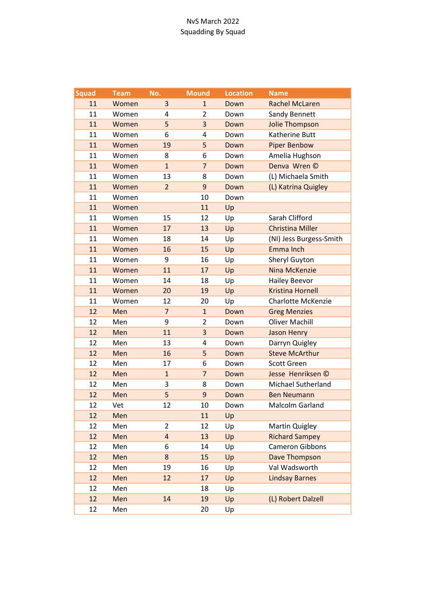| <b>Squad</b> | <b>Team</b> | No.                     | <b>Mound</b>   | <b>Location</b> | <b>Name</b>               |
|--------------|-------------|-------------------------|----------------|-----------------|---------------------------|
| 11           | Women       | 3                       | $\mathbf{1}$   | Down            | <b>Rachel McLaren</b>     |
| 11           | Women       | 4                       | $\overline{2}$ | Down            | Sandy Bennett             |
| 11           | Women       | 5                       | 3              | Down            | Jolie Thompson            |
| 11           | Women       | 6                       | 4              | Down            | Katherine Butt            |
| 11           | Women       | 19                      | 5              | Down            | <b>Piper Benbow</b>       |
| 11           | Women       | 8                       | 6              | Down            | Amelia Hughson            |
| 11           | Women       | $\mathbf{1}$            | $\overline{7}$ | Down            | Denva Wren ©              |
| 11           | Women       | 13                      | 8              | Down            | (L) Michaela Smith        |
| 11           | Women       | $\overline{2}$          | 9              | Down            | (L) Katrina Quigley       |
| 11           | Women       |                         | 10             | Down            |                           |
| 11           | Women       |                         | 11             | Up              |                           |
| 11           | Women       | 15                      | 12             | Up              | Sarah Clifford            |
| 11           | Women       | 17                      | 13             | Up              | <b>Christina Miller</b>   |
| 11           | Women       | 18                      | 14             | Up              | (NI) Jess Burgess-Smith   |
| 11           | Women       | 16                      | 15             | Up              | Emma Inch                 |
| 11           | Women       | 9                       | 16             | Up              | <b>Sheryl Guyton</b>      |
| 11           | Women       | 11                      | 17             | Up              | Nina McKenzie             |
| 11           | Women       | 14                      | 18             | Up              | <b>Hailey Beevor</b>      |
| 11           | Women       | 20                      | 19             | Up              | <b>Kristina Hornell</b>   |
| 11           | Women       | 12                      | 20             | Up              | Charlotte McKenzie        |
| 12           | Men         | $\overline{7}$          | $\mathbf{1}$   | Down            | <b>Greg Menzies</b>       |
| 12           | Men         | 9                       | $\overline{2}$ | Down            | <b>Oliver Machill</b>     |
| 12           | Men         | 11                      | 3              | Down            | <b>Jason Henry</b>        |
| 12           | Men         | 13                      | 4              | Down            | Darryn Quigley            |
| 12           | Men         | 16                      | 5              | Down            | <b>Steve McArthur</b>     |
| 12           | Men         | 17                      | 6              | Down            | <b>Scott Green</b>        |
| 12           | Men         | $\mathbf{1}$            | $\overline{7}$ | Down            | Jesse Henriksen ©         |
| 12           | Men         | 3                       | 8              | Down            | <b>Michael Sutherland</b> |
| 12           | Men         | 5                       | 9              | Down            | <b>Ben Neumann</b>        |
| 12           | Vet         | 12                      | 10             | Down            | Malcolm Garland           |
| 12           | Men         |                         | 11             | Up              |                           |
| 12           | Men         | $\overline{2}$          | 12             | Up              | Martin Quigley            |
| 12           | Men         | $\overline{\mathbf{4}}$ | 13             | Up              | <b>Richard Sampey</b>     |
| 12           | Men         | 6                       | 14             | Up              | Cameron Gibbons           |
| 12           | Men         | 8                       | 15             | Up              | Dave Thompson             |
| 12           | Men         | 19                      | 16             | Up              | Val Wadsworth             |
| 12           | Men         | 12                      | 17             | Up              | <b>Lindsay Barnes</b>     |
| 12           | Men         |                         | 18             | Up              |                           |
| 12           | Men         | 14                      | 19             | Up              | (L) Robert Dalzell        |
| 12           | Men         |                         | 20             | Up              |                           |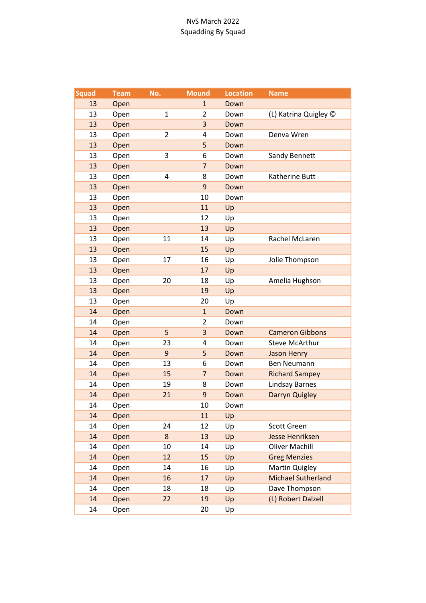| <b>Squad</b> | <b>Team</b> | No.            | <b>Mound</b>   | <b>Location</b> | <b>Name</b>               |
|--------------|-------------|----------------|----------------|-----------------|---------------------------|
| 13           | Open        |                | $\mathbf{1}$   | Down            |                           |
| 13           | Open        | 1              | 2              | Down            | (L) Katrina Quigley ©     |
| 13           | Open        |                | 3              | Down            |                           |
| 13           | Open        | $\overline{2}$ | 4              | Down            | Denva Wren                |
| 13           | Open        |                | 5              | Down            |                           |
| 13           | Open        | 3              | 6              | Down            | Sandy Bennett             |
| 13           | Open        |                | $\overline{7}$ | Down            |                           |
| 13           | Open        | 4              | 8              | Down            | Katherine Butt            |
| 13           | Open        |                | 9              | Down            |                           |
| 13           | Open        |                | 10             | Down            |                           |
| 13           | Open        |                | 11             | Up              |                           |
| 13           | Open        |                | 12             | Up              |                           |
| 13           | Open        |                | 13             | Up              |                           |
| 13           | Open        | 11             | 14             | Up              | Rachel McLaren            |
| 13           | Open        |                | 15             | Up              |                           |
| 13           | Open        | 17             | 16             | Up              | Jolie Thompson            |
| 13           | Open        |                | 17             | Up              |                           |
| 13           | Open        | 20             | 18             | Up              | Amelia Hughson            |
| 13           | Open        |                | 19             | Up              |                           |
| 13           | Open        |                | 20             | Up              |                           |
| 14           | Open        |                | $\mathbf{1}$   | Down            |                           |
| 14           | Open        |                | $\overline{2}$ | Down            |                           |
| 14           | Open        | 5              | 3              | Down            | <b>Cameron Gibbons</b>    |
| 14           | Open        | 23             | 4              | Down            | <b>Steve McArthur</b>     |
| 14           | Open        | 9              | 5              | Down            | Jason Henry               |
| 14           | Open        | 13             | 6              | Down            | Ben Neumann               |
| 14           | Open        | 15             | $\overline{7}$ | Down            | <b>Richard Sampey</b>     |
| 14           | Open        | 19             | 8              | Down            | Lindsay Barnes            |
| 14           | Open        | 21             | 9              | Down            | Darryn Quigley            |
| 14           | Open        |                | 10             | Down            |                           |
| 14           | Open        |                | 11             | Up              |                           |
| 14           | Open        | 24             | 12             | Up              | Scott Green               |
| 14           | Open        | 8              | 13             | Up              | Jesse Henriksen           |
| 14           | Open        | 10             | 14             | Up              | <b>Oliver Machill</b>     |
| 14           | Open        | 12             | 15             | Up              | <b>Greg Menzies</b>       |
| 14           | Open        | 14             | 16             | Up              | Martin Quigley            |
| 14           | Open        | 16             | 17             | Up              | <b>Michael Sutherland</b> |
| 14           | Open        | 18             | 18             | Up              | Dave Thompson             |
| 14           | Open        | 22             | 19             | Up              | (L) Robert Dalzell        |
| 14           | Open        |                | 20             | Up              |                           |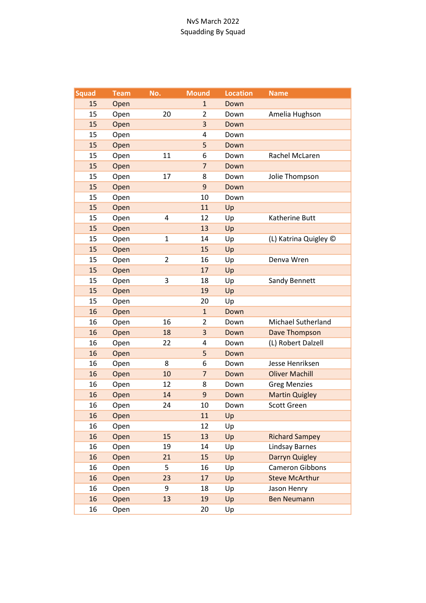| <b>Squad</b> | <b>Team</b> | No.            | <b>Mound</b>   | <b>Location</b> | <b>Name</b>           |
|--------------|-------------|----------------|----------------|-----------------|-----------------------|
| 15           | Open        |                | $\mathbf{1}$   | Down            |                       |
| 15           | Open        | 20             | $\overline{2}$ | Down            | Amelia Hughson        |
| 15           | Open        |                | 3              | Down            |                       |
| 15           | Open        |                | 4              | Down            |                       |
| 15           | Open        |                | 5              | Down            |                       |
| 15           | Open        | 11             | 6              | Down            | Rachel McLaren        |
| 15           | Open        |                | $\overline{7}$ | Down            |                       |
| 15           | Open        | 17             | 8              | Down            | Jolie Thompson        |
| 15           | Open        |                | 9              | Down            |                       |
| 15           | Open        |                | 10             | Down            |                       |
| 15           | Open        |                | 11             | Up              |                       |
| 15           | Open        | 4              | 12             | Up              | Katherine Butt        |
| 15           | Open        |                | 13             | Up              |                       |
| 15           | Open        | 1              | 14             | Up              | (L) Katrina Quigley © |
| 15           | Open        |                | 15             | Up              |                       |
| 15           | Open        | $\overline{2}$ | 16             | Up              | Denva Wren            |
| 15           | Open        |                | 17             | Up              |                       |
| 15           | Open        | 3              | 18             | Up              | Sandy Bennett         |
| 15           | Open        |                | 19             | Up              |                       |
| 15           | Open        |                | 20             | Up              |                       |
| 16           | Open        |                | $\mathbf{1}$   | Down            |                       |
| 16           | Open        | 16             | $\overline{2}$ | Down            | Michael Sutherland    |
| 16           | Open        | 18             | 3              | Down            | Dave Thompson         |
| 16           | Open        | 22             | 4              | Down            | (L) Robert Dalzell    |
| 16           | Open        |                | 5              | Down            |                       |
| 16           | Open        | 8              | 6              | Down            | Jesse Henriksen       |
| 16           | Open        | 10             | $\overline{7}$ | Down            | <b>Oliver Machill</b> |
| 16           | Open        | 12             | 8              | Down            | <b>Greg Menzies</b>   |
| 16           | Open        | 14             | 9              | Down            | <b>Martin Quigley</b> |
| 16           | Open        | 24             | 10             | Down            | <b>Scott Green</b>    |
| 16           | Open        |                | 11             | Up              |                       |
| 16           | Open        |                | 12             | Up              |                       |
| 16           | Open        | 15             | 13             | Up              | <b>Richard Sampey</b> |
| 16           | Open        | 19             | 14             | Up              | Lindsay Barnes        |
| 16           | Open        | 21             | 15             | Up              | Darryn Quigley        |
| 16           | Open        | 5              | 16             | Up              | Cameron Gibbons       |
| 16           | Open        | 23             | 17             | Up              | <b>Steve McArthur</b> |
| 16           | Open        | 9              | 18             | Up              | Jason Henry           |
| 16           | Open        | 13             | 19             | Up              | <b>Ben Neumann</b>    |
| 16           | Open        |                | 20             | Up              |                       |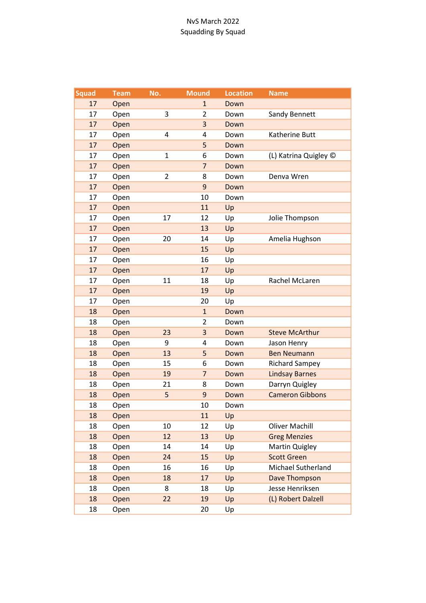| <b>Squad</b> | <b>Team</b> | No.            | <b>Mound</b>   | <b>Location</b> | <b>Name</b>            |  |
|--------------|-------------|----------------|----------------|-----------------|------------------------|--|
| 17           | Open        |                | $\mathbf{1}$   | Down            |                        |  |
| 17           | Open        | 3              | 2              | Down            | Sandy Bennett          |  |
| 17           | Open        |                | 3              | Down            |                        |  |
| 17           | Open        | 4              | 4              | Down            | Katherine Butt         |  |
| 17           | Open        |                | 5              | Down            |                        |  |
| 17           | Open        | $\mathbf{1}$   | 6              | Down            | (L) Katrina Quigley ©  |  |
| 17           | Open        |                | $\overline{7}$ | Down            |                        |  |
| 17           | Open        | $\overline{2}$ | 8              | Down            | Denva Wren             |  |
| 17           | Open        |                | 9              | Down            |                        |  |
| 17           | Open        |                | 10             | Down            |                        |  |
| 17           | Open        |                | 11             | Up              |                        |  |
| 17           | Open        | 17             | 12             | Up              | Jolie Thompson         |  |
| 17           | Open        |                | 13             | Up              |                        |  |
| 17           | Open        | 20             | 14             | Up              | Amelia Hughson         |  |
| 17           | Open        |                | 15             | Up              |                        |  |
| 17           | Open        |                | 16             | Up              |                        |  |
| 17           | Open        |                | 17             | Up              |                        |  |
| 17           | Open        | 11             | 18             | Up              | Rachel McLaren         |  |
| 17           | Open        |                | 19             | Up              |                        |  |
| 17           | Open        |                | 20             | Up              |                        |  |
| 18           | Open        |                | $\mathbf{1}$   | Down            |                        |  |
| 18           | Open        |                | $\overline{2}$ | Down            |                        |  |
| 18           | Open        | 23             | 3              | Down            | <b>Steve McArthur</b>  |  |
| 18           | Open        | 9              | 4              | Down            | Jason Henry            |  |
| 18           | Open        | 13             | 5              | Down            | <b>Ben Neumann</b>     |  |
| 18           | Open        | 15             | 6              | Down            | <b>Richard Sampey</b>  |  |
| 18           | Open        | 19             | $\overline{7}$ | Down            | <b>Lindsay Barnes</b>  |  |
| 18           | Open        | 21             | 8              | Down            | Darryn Quigley         |  |
| 18           | Open        | 5              | 9              | Down            | <b>Cameron Gibbons</b> |  |
| 18           | Open        |                | 10             | Down            |                        |  |
| 18           | Open        |                | 11             | Up              |                        |  |
| 18           | Open        | 10             | 12             | Up              | Oliver Machill         |  |
| 18           | Open        | 12             | 13             | Up              | <b>Greg Menzies</b>    |  |
| 18           | Open        | 14             | 14             | Up              | Martin Quigley         |  |
| 18           | Open        | 24             | 15             | Up              | <b>Scott Green</b>     |  |
| 18           | Open        | 16             | 16             | Up              | Michael Sutherland     |  |
| 18           | Open        | 18             | 17             | Up              | Dave Thompson          |  |
| 18           | Open        | 8              | 18             | Up              | Jesse Henriksen        |  |
| 18           | Open        | 22             | 19             | Up              | (L) Robert Dalzell     |  |
| 18           | Open        |                | 20             | Up              |                        |  |